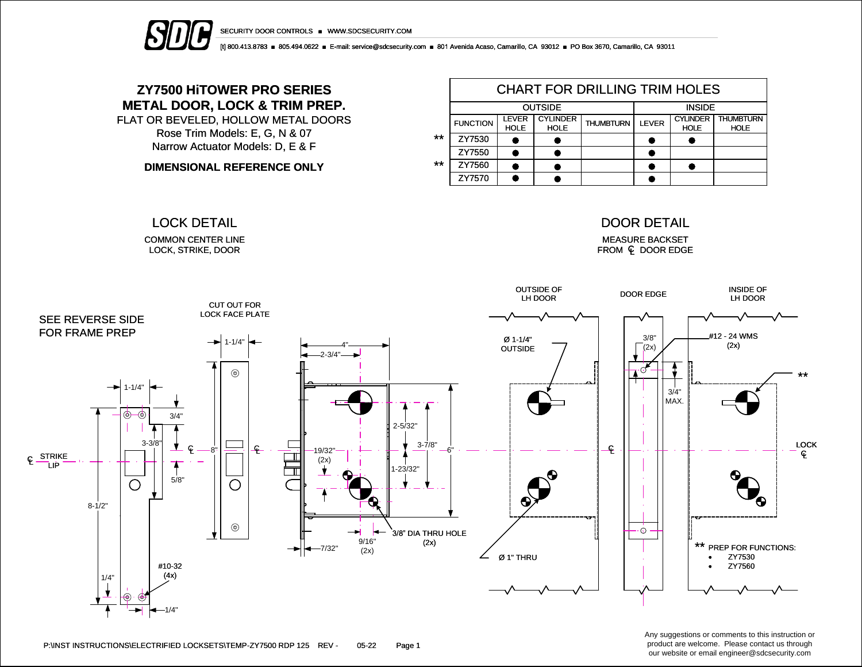



[t] 800.413.8783 ■ 805.494.0622 ■ E-mail: service@sdcsecurity.com ■ 801 Avenida Acaso, Camarillo, CA 93012 ■ PO Box 3670, Camarillo, CA 93011

## **ZY7500 HiTOWER PRO SERIES METAL DOOR, LOCK & TRIM PREP.**

FLAT OR BEVELED, HOLLOW METAL DOORS Rose Trim Models: E, G, N & 07 Narrow Actuator Models: D, E & F

**DIMENSIONAL REFERENCE ONLY**

COMMON CENTER LINE LOCK, STRIKE, DOOR

|       | <b>CHART FOR DRILLING TRIM HOLES</b> |                             |                                |                  |              |                                |                                 |  |  |  |  |
|-------|--------------------------------------|-----------------------------|--------------------------------|------------------|--------------|--------------------------------|---------------------------------|--|--|--|--|
|       |                                      | <b>OUTSIDE</b>              | <b>INSIDE</b>                  |                  |              |                                |                                 |  |  |  |  |
|       | <b>FUNCTION</b>                      | <b>LEVER</b><br><b>HOLE</b> | <b>CYLINDER</b><br><b>HOLE</b> | <b>THUMBTURN</b> | <b>LEVER</b> | <b>CYLINDER</b><br><b>HOLE</b> | <b>THUMBTURN</b><br><b>HOLE</b> |  |  |  |  |
| **    | ZY7530                               |                             |                                |                  |              |                                |                                 |  |  |  |  |
|       | ZY7550                               |                             |                                |                  |              |                                |                                 |  |  |  |  |
| $***$ | ZY7560                               |                             |                                |                  |              |                                |                                 |  |  |  |  |
|       | ZY7570                               |                             |                                |                  |              |                                |                                 |  |  |  |  |

#### LOCK DETAIL DOOR DETAIL

MEASURE BACKSET FROM **Q** DOOR EDGE



Any suggestions or comments to this instruction or product are welcome. Please contact us through our website or email engineer@sdcsecurity.com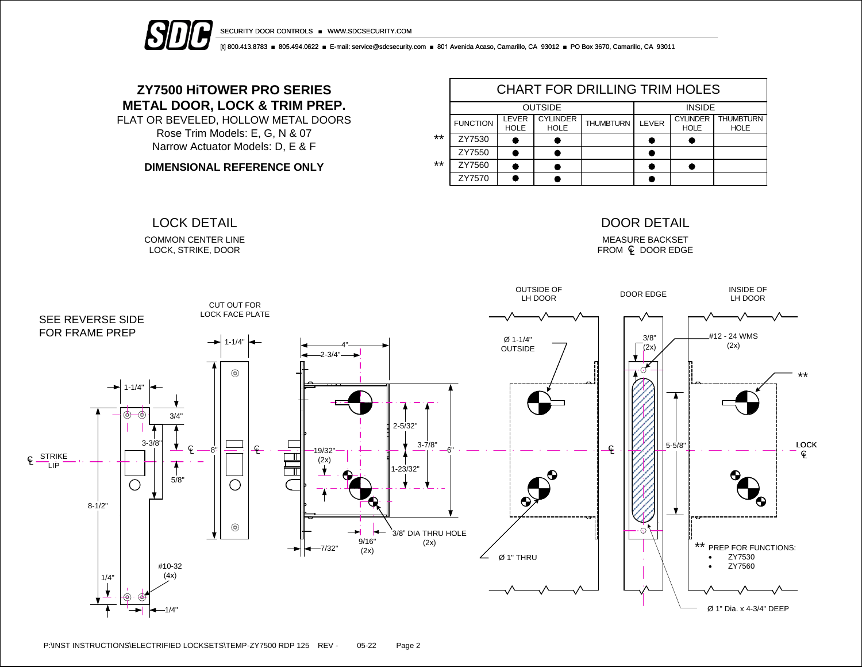



[t] 800.413.8783 ■ 805.494.0622 ■ E-mail: service@sdcsecurity.com ■ 801 Avenida Acaso, Camarillo, CA 93012 ■ PO Box 3670, Camarillo, CA 93011

## **ZY7500 HiTOWER PRO SERIES METAL DOOR, LOCK & TRIM PREP.**

FLAT OR BEVELED, HOLLOW METAL DOORS Rose Trim Models: E, G, N & 07 Narrow Actuator Models: D, E & F

**DIMENSIONAL REFERENCE ONLY**

COMMON CENTER LINE LOCK, STRIKE, DOOR

|       | <b>CHART FOR DRILLING TRIM HOLES</b> |                      |                                |                  |       |                                |                                 |  |  |  |  |
|-------|--------------------------------------|----------------------|--------------------------------|------------------|-------|--------------------------------|---------------------------------|--|--|--|--|
|       |                                      | <b>OUTSIDE</b>       | <b>INSIDE</b>                  |                  |       |                                |                                 |  |  |  |  |
|       | <b>FUNCTION</b>                      | LEVER<br><b>HOLE</b> | <b>CYLINDER</b><br><b>HOLE</b> | <b>THUMBTURN</b> | LEVER | <b>CYLINDER</b><br><b>HOLE</b> | <b>THUMBTURN</b><br><b>HOLE</b> |  |  |  |  |
| $***$ | ZY7530                               |                      |                                |                  |       |                                |                                 |  |  |  |  |
|       | ZY7550                               |                      |                                |                  |       |                                |                                 |  |  |  |  |
| $***$ | ZY7560                               |                      |                                |                  |       |                                |                                 |  |  |  |  |
|       | ZY7570                               |                      |                                |                  |       |                                |                                 |  |  |  |  |

#### LOCK DETAIL DOOR DETAIL

MEASURE BACKSET  $FROM \subseteq DOOR EDGE$